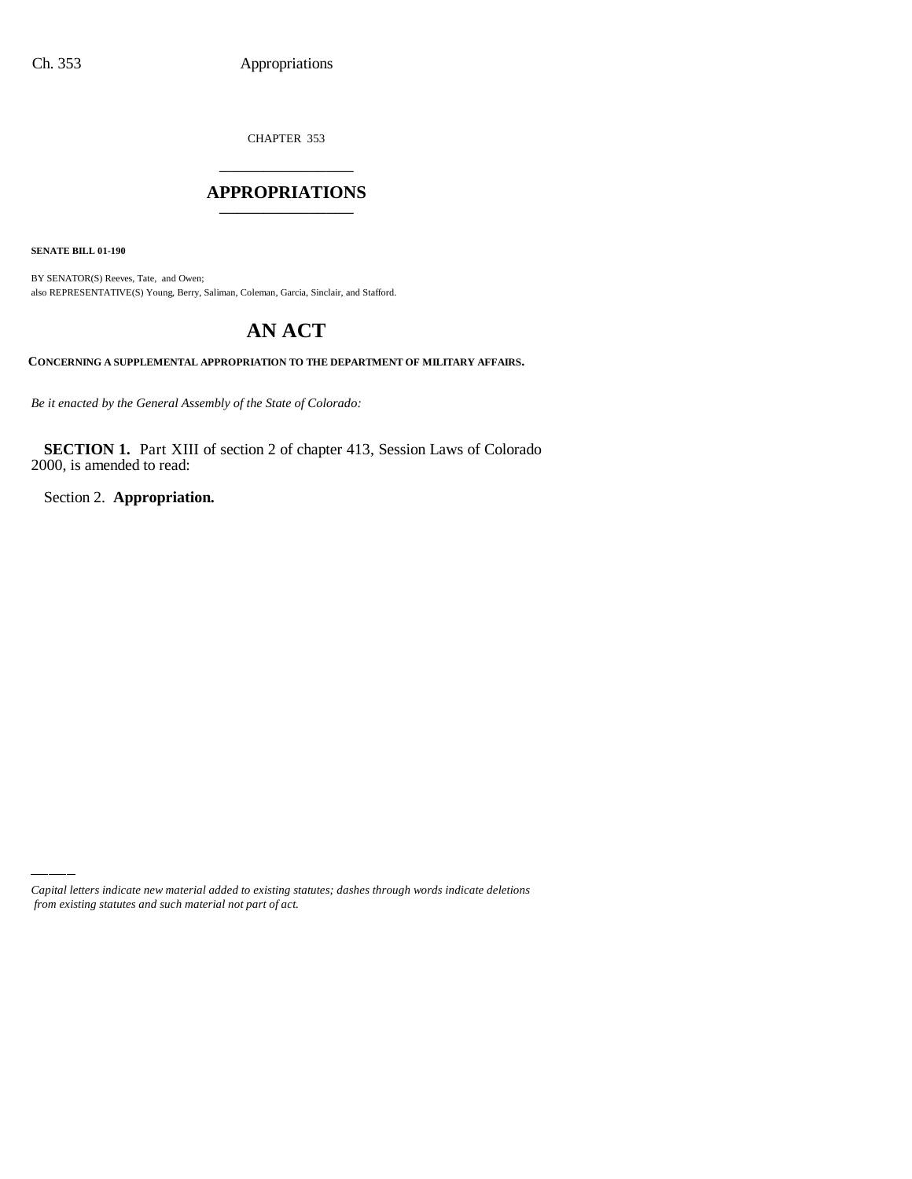CHAPTER 353 \_\_\_\_\_\_\_\_\_\_\_\_\_\_\_

## **APPROPRIATIONS** \_\_\_\_\_\_\_\_\_\_\_\_\_\_\_

**SENATE BILL 01-190**

BY SENATOR(S) Reeves, Tate, and Owen; also REPRESENTATIVE(S) Young, Berry, Saliman, Coleman, Garcia, Sinclair, and Stafford.

## **AN ACT**

**CONCERNING A SUPPLEMENTAL APPROPRIATION TO THE DEPARTMENT OF MILITARY AFFAIRS.**

*Be it enacted by the General Assembly of the State of Colorado:*

**SECTION 1.** Part XIII of section 2 of chapter 413, Session Laws of Colorado 2000, is amended to read:

Section 2. **Appropriation.**

*Capital letters indicate new material added to existing statutes; dashes through words indicate deletions from existing statutes and such material not part of act.*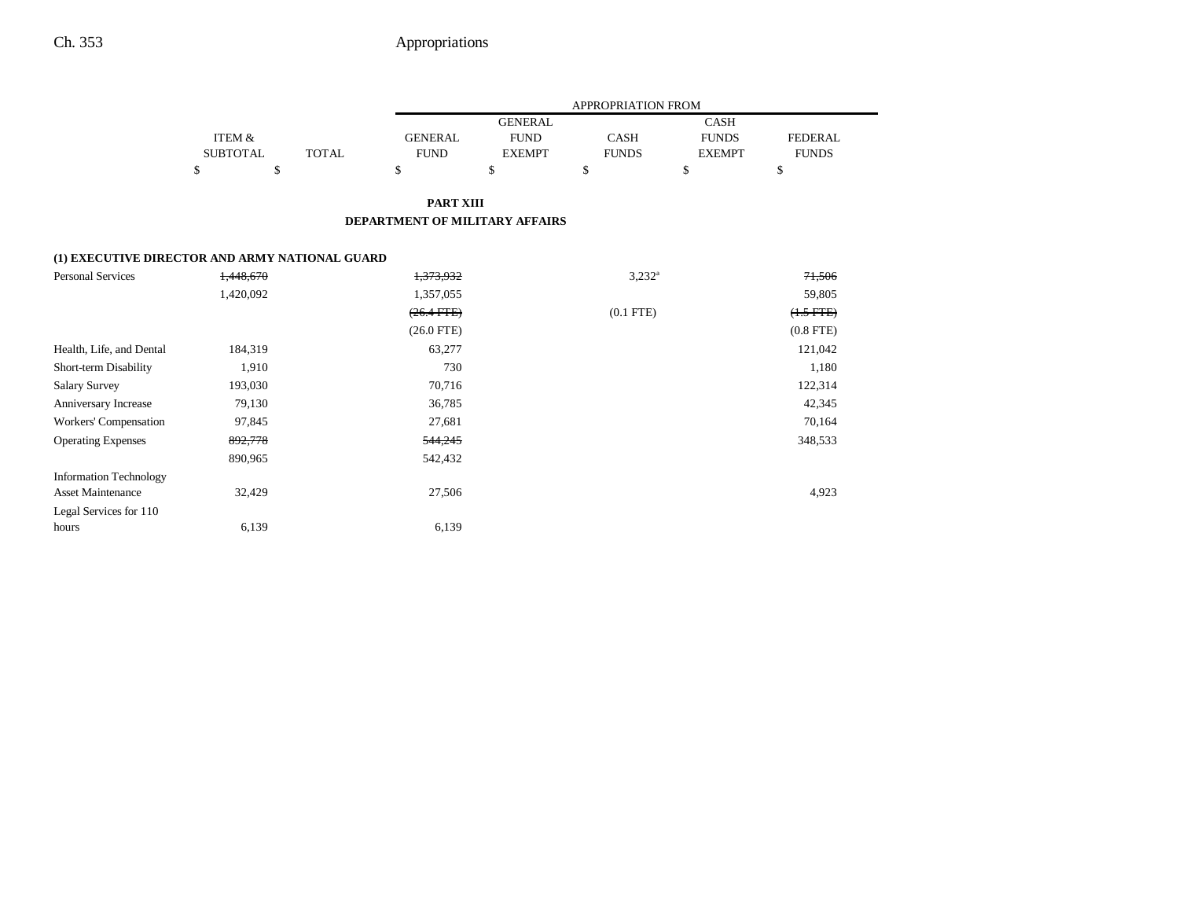|                                                           |  |             | APPROPRIATION FROM |                |               |              |         |  |
|-----------------------------------------------------------|--|-------------|--------------------|----------------|---------------|--------------|---------|--|
|                                                           |  |             |                    | <b>GENERAL</b> |               |              |         |  |
| ITEM &                                                    |  |             | <b>GENERAL</b>     | <b>FUND</b>    | <b>CASH</b>   | <b>FUNDS</b> | FEDERAL |  |
| <b>SUBTOTAL</b><br>TOTAL                                  |  | <b>FUND</b> | <b>EXEMPT</b>      | <b>FUNDS</b>   | <b>EXEMPT</b> | <b>FUNDS</b> |         |  |
| ъ                                                         |  |             | S                  | D              | D             | S            | э       |  |
| <b>PART XIII</b><br><b>DEPARTMENT OF MILITARY AFFAIRS</b> |  |             |                    |                |               |              |         |  |
| (1) EXECUTIVE DIRECTOR AND ARMY NATIONAL GUARD            |  |             |                    |                |               |              |         |  |

| <b>Personal Services</b>      | 1,448,670 | 1,373,932       | $3,232^a$   | 71,506         |
|-------------------------------|-----------|-----------------|-------------|----------------|
|                               | 1,420,092 | 1,357,055       |             | 59,805         |
|                               |           | $(26.4$ FTE $)$ | $(0.1$ FTE) | $(1.5 FTE)$    |
|                               |           | $(26.0$ FTE)    |             | $(0.8$ FTE $)$ |
| Health, Life, and Dental      | 184,319   | 63,277          |             | 121,042        |
| Short-term Disability         | 1,910     | 730             |             | 1,180          |
| <b>Salary Survey</b>          | 193,030   | 70,716          |             | 122,314        |
| Anniversary Increase          | 79,130    | 36,785          |             | 42,345         |
| Workers' Compensation         | 97,845    | 27,681          |             | 70,164         |
| <b>Operating Expenses</b>     | 892,778   | 544,245         |             | 348,533        |
|                               | 890,965   | 542,432         |             |                |
| <b>Information Technology</b> |           |                 |             |                |
| <b>Asset Maintenance</b>      | 32,429    | 27,506          |             | 4,923          |
| Legal Services for 110        |           |                 |             |                |
| hours                         | 6,139     | 6,139           |             |                |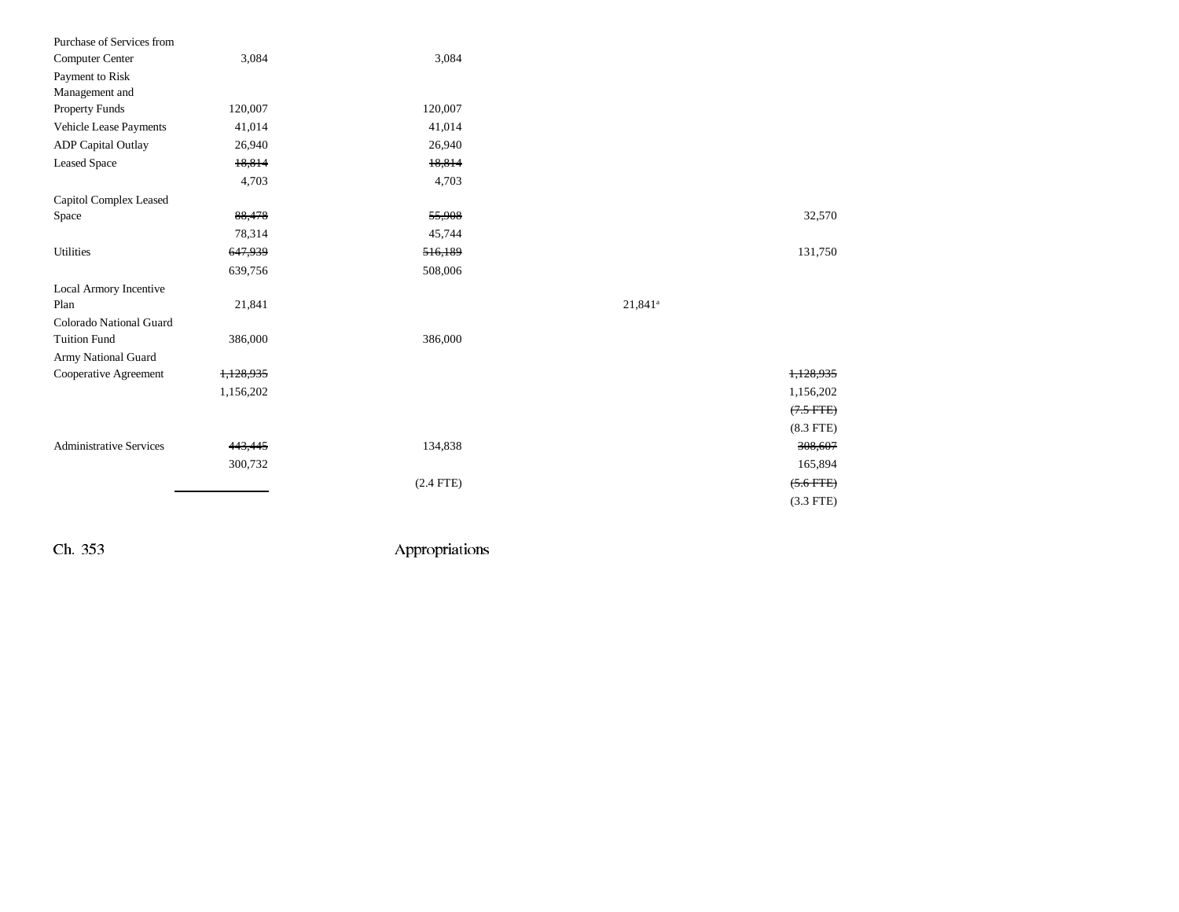| Purchase of Services from      |           |             |            |             |
|--------------------------------|-----------|-------------|------------|-------------|
| Computer Center                | 3,084     | 3,084       |            |             |
| Payment to Risk                |           |             |            |             |
| Management and                 |           |             |            |             |
| Property Funds                 | 120,007   | 120,007     |            |             |
| Vehicle Lease Payments         | 41,014    | 41,014      |            |             |
| <b>ADP</b> Capital Outlay      | 26,940    | 26,940      |            |             |
| <b>Leased Space</b>            | 18,814    | 18,814      |            |             |
|                                | 4,703     | 4,703       |            |             |
| <b>Capitol Complex Leased</b>  |           |             |            |             |
| Space                          | 88,478    | 55,908      |            | 32,570      |
|                                | 78,314    | 45,744      |            |             |
| Utilities                      | 647,939   | 516,189     |            | 131,750     |
|                                | 639,756   | 508,006     |            |             |
| Local Armory Incentive         |           |             |            |             |
| Plan                           | 21,841    |             | $21,841^a$ |             |
| Colorado National Guard        |           |             |            |             |
| <b>Tuition Fund</b>            | 386,000   | 386,000     |            |             |
| Army National Guard            |           |             |            |             |
| Cooperative Agreement          | 1,128,935 |             |            | 1,128,935   |
|                                | 1,156,202 |             |            | 1,156,202   |
|                                |           |             |            | $(7.5$ FTE) |
|                                |           |             |            | $(8.3$ FTE) |
| <b>Administrative Services</b> | 443,445   | 134,838     |            | 308,607     |
|                                | 300,732   |             |            | 165,894     |
|                                |           | $(2.4$ FTE) |            | $(5.6 FFE)$ |
|                                |           |             |            | $(3.3$ FTE) |
|                                |           |             |            |             |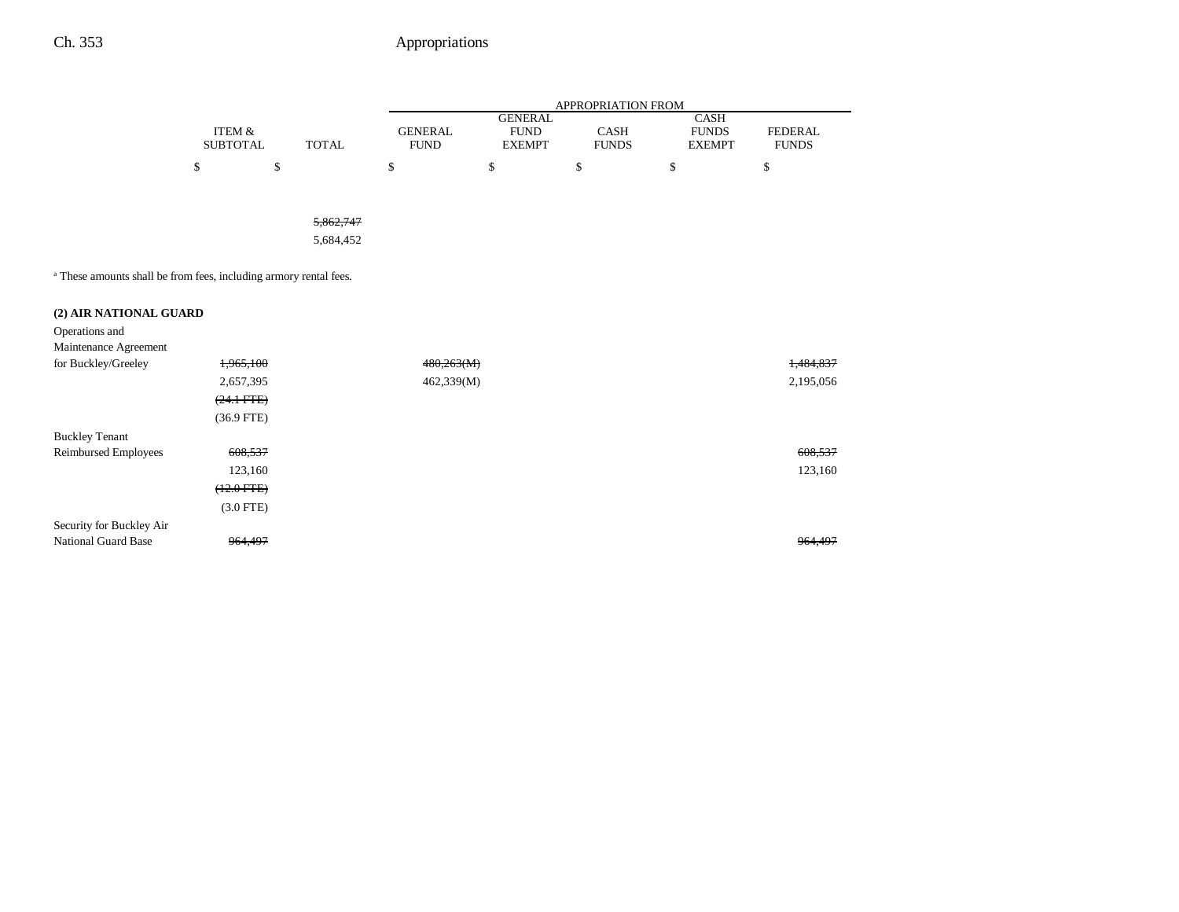|                                                                              |                                      |              | APPROPRIATION FROM            |                                                |                      |                                              |                                |  |
|------------------------------------------------------------------------------|--------------------------------------|--------------|-------------------------------|------------------------------------------------|----------------------|----------------------------------------------|--------------------------------|--|
|                                                                              | <b>ITEM &amp;</b><br><b>SUBTOTAL</b> | <b>TOTAL</b> | <b>GENERAL</b><br><b>FUND</b> | <b>GENERAL</b><br><b>FUND</b><br><b>EXEMPT</b> | CASH<br><b>FUNDS</b> | <b>CASH</b><br><b>FUNDS</b><br><b>EXEMPT</b> | <b>FEDERAL</b><br><b>FUNDS</b> |  |
|                                                                              | \$                                   | \$           | \$                            | \$                                             | \$                   | \$                                           | \$                             |  |
|                                                                              |                                      |              |                               |                                                |                      |                                              |                                |  |
|                                                                              |                                      | 5,862,747    |                               |                                                |                      |                                              |                                |  |
|                                                                              |                                      | 5,684,452    |                               |                                                |                      |                                              |                                |  |
| <sup>a</sup> These amounts shall be from fees, including armory rental fees. |                                      |              |                               |                                                |                      |                                              |                                |  |
| (2) AIR NATIONAL GUARD                                                       |                                      |              |                               |                                                |                      |                                              |                                |  |
| Operations and                                                               |                                      |              |                               |                                                |                      |                                              |                                |  |
| Maintenance Agreement                                                        |                                      |              |                               |                                                |                      |                                              |                                |  |
| for Buckley/Greeley                                                          | 1,965,100                            |              | 480,263(M)                    |                                                |                      |                                              | 1,484,837                      |  |
|                                                                              | 2,657,395                            |              | 462,339(M)                    |                                                |                      |                                              | 2,195,056                      |  |
|                                                                              | $(24.1$ FTE)                         |              |                               |                                                |                      |                                              |                                |  |
|                                                                              | $(36.9$ FTE)                         |              |                               |                                                |                      |                                              |                                |  |
| <b>Buckley Tenant</b>                                                        |                                      |              |                               |                                                |                      |                                              |                                |  |
| Reimbursed Employees                                                         | 608,537                              |              |                               |                                                |                      |                                              | 608,537                        |  |
|                                                                              | 123,160                              |              |                               |                                                |                      |                                              | 123,160                        |  |
|                                                                              | $(12.0$ FTE)                         |              |                               |                                                |                      |                                              |                                |  |
|                                                                              | $(3.0$ FTE)                          |              |                               |                                                |                      |                                              |                                |  |
| Security for Buckley Air                                                     |                                      |              |                               |                                                |                      |                                              |                                |  |
| <b>National Guard Base</b>                                                   | 964,497                              |              |                               |                                                |                      |                                              | 964,497                        |  |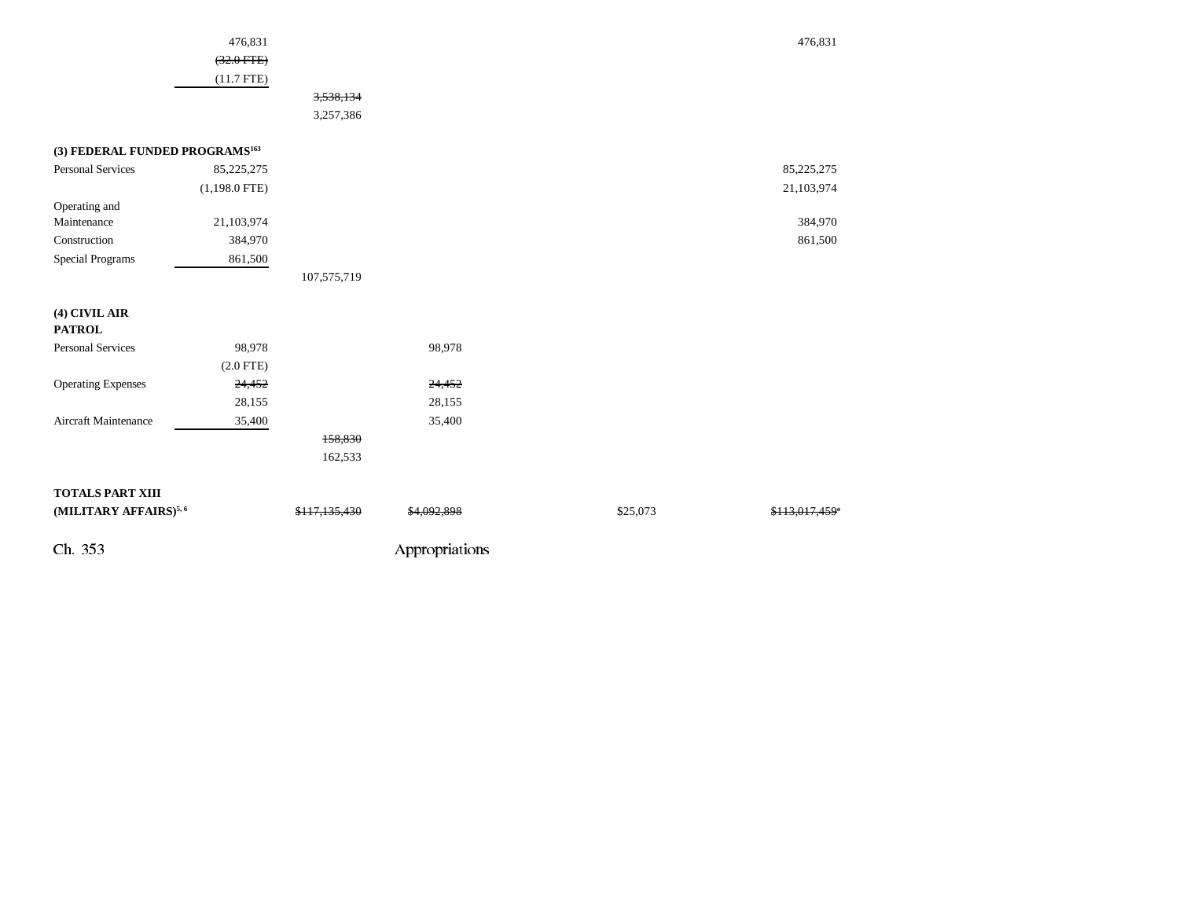|                                            | 476,831         |               |                |          | 476,831        |  |
|--------------------------------------------|-----------------|---------------|----------------|----------|----------------|--|
|                                            | $(32.0$ FTE)    |               |                |          |                |  |
|                                            | $(11.7$ FTE)    |               |                |          |                |  |
|                                            |                 | 3,538,134     |                |          |                |  |
|                                            |                 | 3,257,386     |                |          |                |  |
| (3) FEDERAL FUNDED PROGRAMS <sup>163</sup> |                 |               |                |          |                |  |
| Personal Services                          | 85,225,275      |               |                |          | 85,225,275     |  |
|                                            | $(1,198.0$ FTE) |               |                |          | 21,103,974     |  |
| Operating and                              |                 |               |                |          |                |  |
| Maintenance                                | 21,103,974      |               |                |          | 384,970        |  |
| Construction                               | 384,970         |               |                |          | 861,500        |  |
| Special Programs                           | 861,500         |               |                |          |                |  |
|                                            |                 | 107,575,719   |                |          |                |  |
| (4) CIVIL AIR<br><b>PATROL</b>             |                 |               |                |          |                |  |
| Personal Services                          | 98,978          |               | 98,978         |          |                |  |
|                                            | $(2.0$ FTE)     |               |                |          |                |  |
| <b>Operating Expenses</b>                  | 24,452          |               | 24,452         |          |                |  |
|                                            | 28,155          |               | 28,155         |          |                |  |
| Aircraft Maintenance                       | 35,400          |               | 35,400         |          |                |  |
|                                            |                 | 158,830       |                |          |                |  |
|                                            |                 | 162,533       |                |          |                |  |
| TOTALS PART XIII                           |                 |               |                |          |                |  |
| (MILITARY AFFAIRS) <sup>5,6</sup>          |                 | \$117,135,430 | \$4,092,898    | \$25,073 | \$113,017,459" |  |
| Ch. 353                                    |                 |               | Appropriations |          |                |  |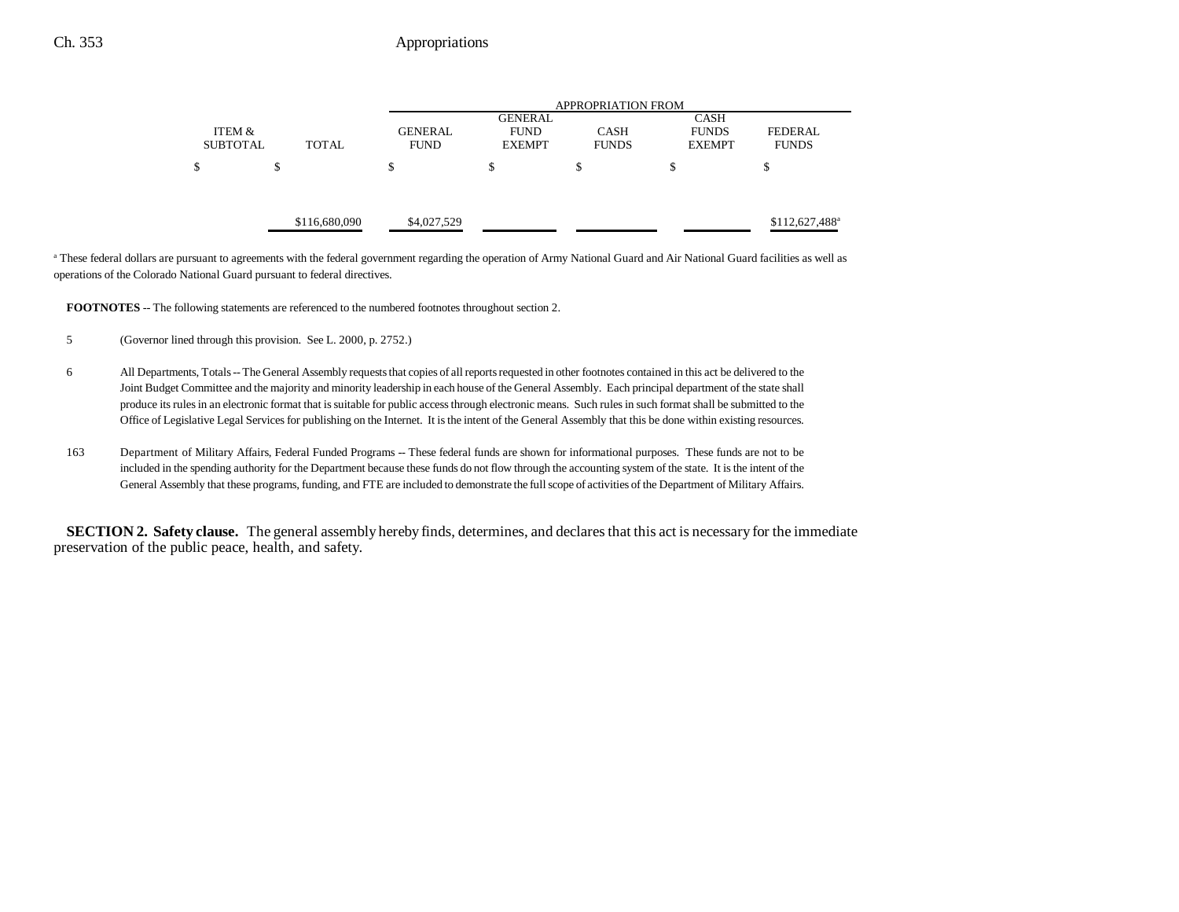|                 |               |                | APPROPRIATION FROM            |              |               |                            |  |  |  |
|-----------------|---------------|----------------|-------------------------------|--------------|---------------|----------------------------|--|--|--|
|                 |               |                | <b>GENERAL</b><br><b>CASH</b> |              |               |                            |  |  |  |
| ITEM &          |               | <b>GENERAL</b> | <b>FUND</b>                   | <b>CASH</b>  | <b>FUNDS</b>  | <b>FEDERAL</b>             |  |  |  |
| <b>SUBTOTAL</b> | <b>TOTAL</b>  | <b>FUND</b>    | <b>EXEMPT</b>                 | <b>FUNDS</b> | <b>EXEMPT</b> | <b>FUNDS</b>               |  |  |  |
| \$              | \$            | S              | \$                            | \$           | \$            | D                          |  |  |  |
|                 |               |                |                               |              |               |                            |  |  |  |
|                 |               |                |                               |              |               |                            |  |  |  |
|                 | \$116,680,090 | \$4,027,529    |                               |              |               | \$112,627,488 <sup>a</sup> |  |  |  |

<sup>a</sup> These federal dollars are pursuant to agreements with the federal government regarding the operation of Army National Guard and Air National Guard facilities as well as operations of the Colorado National Guard pursuant to federal directives.

**FOOTNOTES** -- The following statements are referenced to the numbered footnotes throughout section 2.

- 5 (Governor lined through this provision. See L. 2000, p. 2752.)
- 6 All Departments, Totals -- The General Assembly requests that copies of all reports requested in other footnotes contained in this act be delivered to the Joint Budget Committee and the majority and minority leadership in each house of the General Assembly. Each principal department of the state shall produce its rules in an electronic format that is suitable for public access through electronic means. Such rules in such format shall be submitted to the Office of Legislative Legal Services for publishing on the Internet. It is the intent of the General Assembly that this be done within existing resources.
- 163 Department of Military Affairs, Federal Funded Programs -- These federal funds are shown for informational purposes. These funds are not to be included in the spending authority for the Department because these funds do not flow through the accounting system of the state. It is the intent of the General Assembly that these programs, funding, and FTE are included to demonstrate the full scope of activities of the Department of Military Affairs.

**SECTION 2. Safety clause.** The general assembly hereby finds, determines, and declares that this act is necessary for the immediate preservation of the public peace, health, and safety.